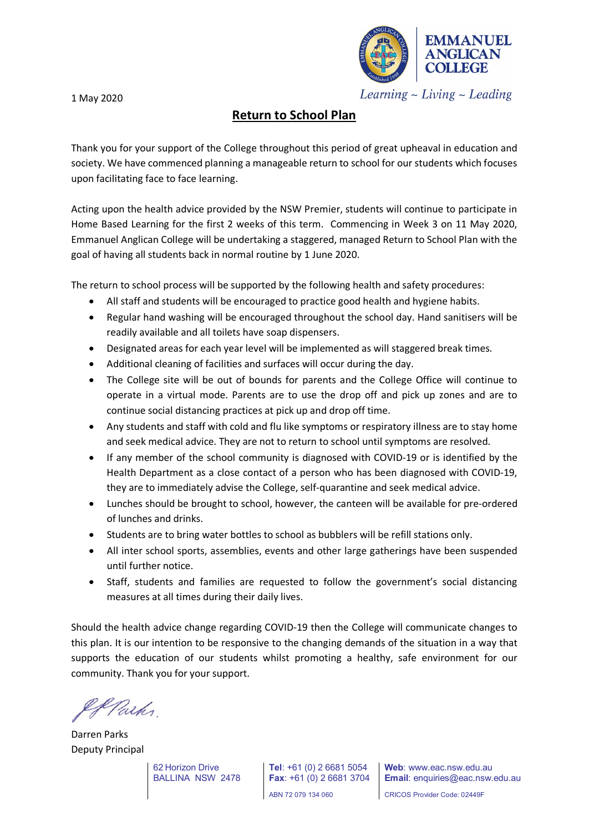**EMMANUEL COLLEGE** 

Learning  $\sim$  Living  $\sim$  Leading

## 1 May 2020

## **Return to School Plan**

Thank you for your support of the College throughout this period of great upheaval in education and society. We have commenced planning a manageable return to school for our students which focuses upon facilitating face to face learning.

Acting upon the health advice provided by the NSW Premier, students will continue to participate in Home Based Learning for the first 2 weeks of this term. Commencing in Week 3 on 11 May 2020, Emmanuel Anglican College will be undertaking a staggered, managed Return to School Plan with the goal of having all students back in normal routine by 1 June 2020.

The return to school process will be supported by the following health and safety procedures:

- All staff and students will be encouraged to practice good health and hygiene habits.
- Regular hand washing will be encouraged throughout the school day. Hand sanitisers will be readily available and all toilets have soap dispensers.
- Designated areas for each year level will be implemented as will staggered break times.
- Additional cleaning of facilities and surfaces will occur during the day.
- The College site will be out of bounds for parents and the College Office will continue to operate in a virtual mode. Parents are to use the drop off and pick up zones and are to continue social distancing practices at pick up and drop off time.
- Any students and staff with cold and flu like symptoms or respiratory illness are to stay home and seek medical advice. They are not to return to school until symptoms are resolved.
- If any member of the school community is diagnosed with COVID-19 or is identified by the Health Department as a close contact of a person who has been diagnosed with COVID-19, they are to immediately advise the College, self-quarantine and seek medical advice.
- Lunches should be brought to school, however, the canteen will be available for pre-ordered of lunches and drinks.
- Students are to bring water bottles to school as bubblers will be refill stations only.
- All inter school sports, assemblies, events and other large gatherings have been suspended until further notice.
- Staff, students and families are requested to follow the government's social distancing measures at all times during their daily lives.

Should the health advice change regarding COVID-19 then the College will communicate changes to this plan. It is our intention to be responsive to the changing demands of the situation in a way that supports the education of our students whilst promoting a healthy, safe environment for our community. Thank you for your support.

KParks.

Darren Parks Deputy Principal

**Tel**: +61 (0) 2 6681 5054 **Fax**: +61 (0) 2 6681 3704 **Web**: www.eac.nsw.edu.au **Email**: enquiries@eac.nsw.edu.au

ABN 72 079 134 060